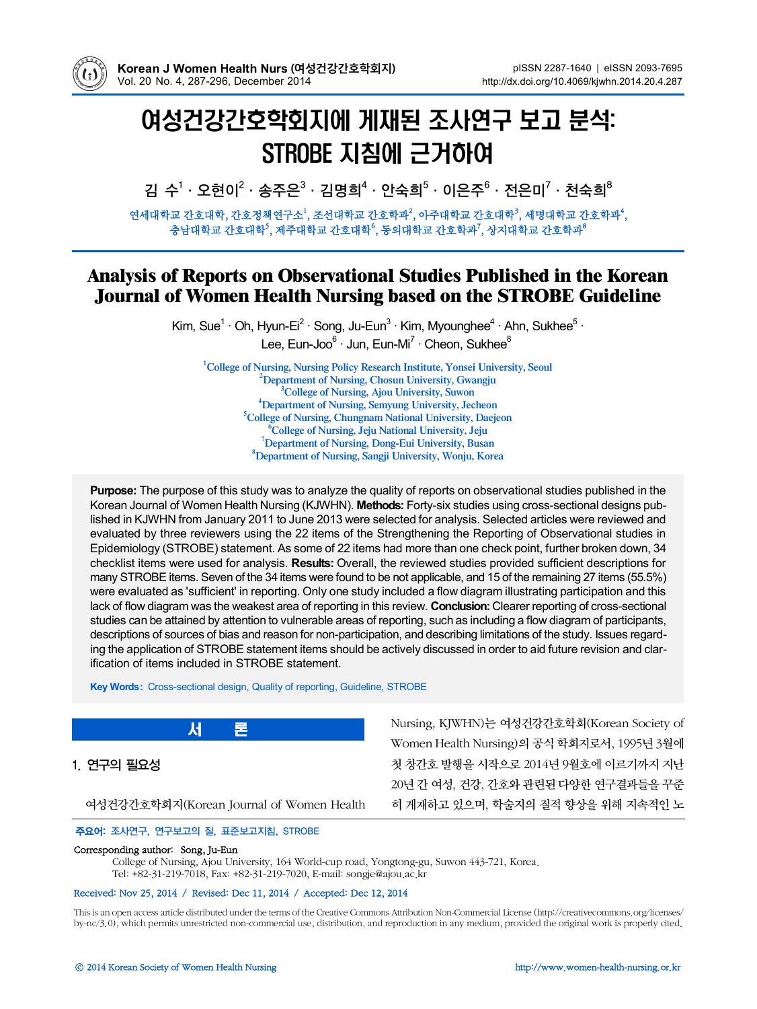

# 여성건강간호학회지에 게재된 조사연구 보고 분석: STROBE 지침에 근거하여

김 수<sup>1</sup> · 오현이<sup>2</sup> · 송주은 $3$  · 김명희<sup>4</sup> · 안숙희 $5$  · 이은주 $6$  · 전은미 $7$  · 천숙희 $8$ 

연세대학교 간호대학, 간호정책연구소<sup>1</sup>, 조선대학교 간호학과<sup>2</sup>, 아주대학교 간호대학<sup>3</sup>, 세명대학교 간호학과<sup>4</sup>, 충남대학교 간호대학<sup>5</sup>, 제주대학교 간호대학<sup>6</sup>, 동의대학교 간호학과<sup>7</sup>, 상지대학교 간호학과<sup>8</sup>

# **Analysis of Reports on Observational Studies Published in the Korean Journal of Women Health Nursing based on the STROBE Guideline**

Kim, Sue<sup>1</sup> · Oh, Hyun-Ei<sup>2</sup> · Song, Ju-Eun<sup>3</sup> · Kim, Myounghee<sup>4</sup> · Ahn, Sukhee<sup>5</sup> · Lee, Eun-Joo<sup>6</sup> · Jun, Eun-Mi<sup>7</sup> · Cheon, Sukhee<sup>8</sup>

**College of Nursing, Nursing Policy Research Institute, Yonsei University, Seoul Department of Nursing, Chosun University, Gwangju College of Nursing, Ajou University, Suwon Department of Nursing, Semyung University, Jecheon College of Nursing, Chungnam National University, Daejeon College of Nursing, Jeju National University, Jeju Department of Nursing, Dong-Eui University, Busan Department of Nursing, Sangji University, Wonju, Korea**

**Purpose:** The purpose of this study was to analyze the quality of reports on observational studies published in the Korean Journal of Women Health Nursing (KJWHN). **Methods:** Forty-six studies using cross-sectional designs published in KJWHN from January 2011 to June 2013 were selected for analysis. Selected articles were reviewed and evaluated by three reviewers using the 22 items of the Strengthening the Reporting of Observational studies in Epidemiology (STROBE) statement. As some of 22 items had more than one check point, further broken down, 34 checklist items were used for analysis. **Results:** Overall, the reviewed studies provided sufficient descriptions for many STROBE items. Seven of the 34 items were found to be not applicable, and 15 of the remaining 27 items (55.5%) were evaluated as 'sufficient' in reporting. Only one study included a flow diagram illustrating participation and this lack of flow diagram was the weakest area of reporting in this review. **Conclusion:** Clearer reporting of cross-sectional studies can be attained by attention to vulnerable areas of reporting, such as including a flow diagram of participants, descriptions of sources of bias and reason for non-participation, and describing limitations of the study. Issues regarding the application of STROBE statement items should be actively discussed in order to aid future revision and clarification of items included in STROBE statement.

**Key Words:** Cross-sectional design, Quality of reporting, Guideline, STROBE

1. 연구의 필요성

여성건강간호학회지(Korean Journal of Women Health

Nursing, KJWHN)는 여성건강간호학회(Korean Society of Women Health Nursing)의 공식 학회지로서, 1995년 3월에 첫 창간호 발행을 시작으로 2014년 9월호에 이르기까지 지난 20년 간 여성, 건강, 간호와 관련된 다양한 연구결과들을 꾸준 히 게재하고 있으며, 학술지의 질적 향상을 위해 지속적인 노

#### 주요어: 조사연구, 연구보고의 질, 표준보고지침, STROBE

서

#### Corresponding author: Song, Ju-Eun

College of Nursing, Ajou University, 164 World-cup road, Yongtong-gu, Suwon 443-721, Korea. Tel: +82-31-219-7018, Fax: +82-31-219-7020, E-mail: songje@ajou.ac.kr

#### Received: Nov 25, 2014 / Revised: Dec 11, 2014 / Accepted: Dec 12, 2014

Thisis an open access article distributed under the terms of the Creative Commons Attribution Non-Commercial License (http://creativecommons.org/licenses/ by-nc/3.0), which permits unrestricted non-commercial use, distribution, and reproduction in any medium, provided the original work is properly cited.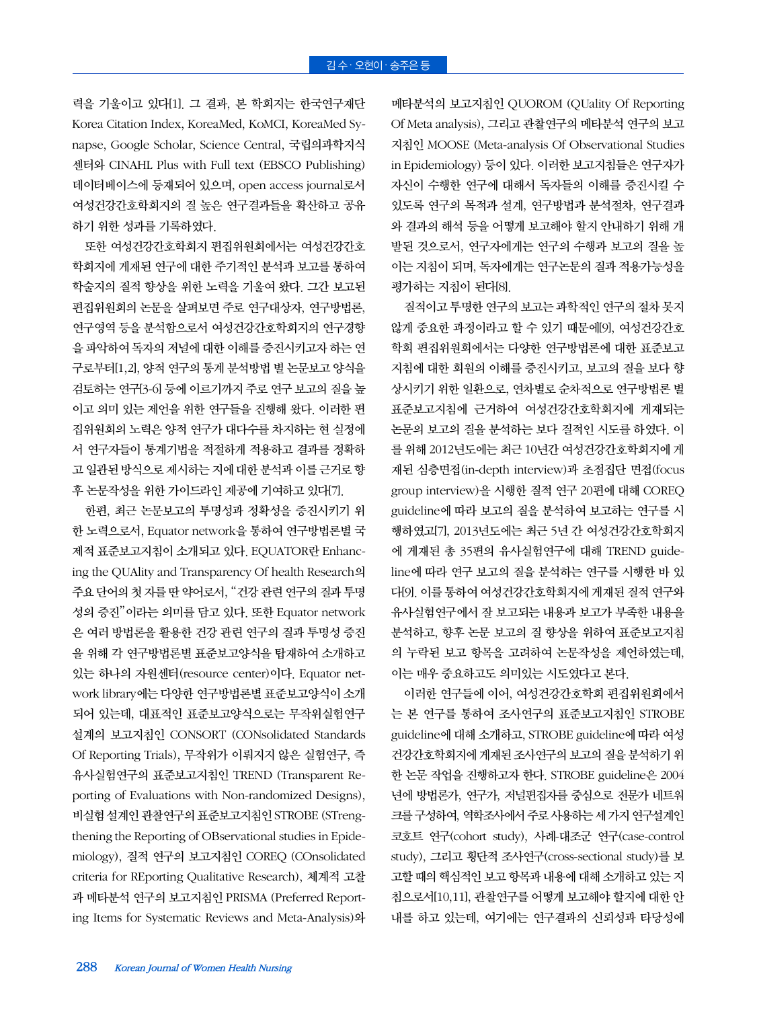력을 기울이고 있다[1]. 그 결과, 본 학회지는 한국연구재단 Korea Citation Index, KoreaMed, KoMCI, KoreaMed Synapse, Google Scholar, Science Central, 국립의과학지식 센터와 CINAHL Plus with Full text (EBSCO Publishing) 데이터베이스에 등재되어 있으며, open access journal로서 여성건강간호학회지의 질 높은 연구결과들을 확산하고 공유 하기 위한 성과를 기록하였다.

또한 여성건강간호학회지 편집위원회에서는 여성건강간호 학회지에 게재된 연구에 대한 주기적인 분석과 보고를 통하여 학술지의 질적 향상을 위한 노력을 기울여 왔다. 그간 보고된 편집위원회의 논문을 살펴보면 주로 연구대상자, 연구방법론, 연구영역 등을 분석함으로서 여성건강간호학회지의 연구경향 을 파악하여 독자의 저널에 대한 이해를 증진시키고자 하는 연 구로부터[1,2], 양적 연구의 통계 분석방법 별 논문보고 양식을 검토하는 연구[3-6] 등에 이르기까지 주로 연구 보고의 질을 높 이고 의미 있는 제언을 위한 연구들을 진행해 왔다. 이러한 편 집위원회의 노력은 양적 연구가 대다수를 차지하는 현 실정에 서 연구자들이 통계기법을 적절하게 적용하고 결과를 정확하 고 일관된 방식으로 제시하는 지에대한 분석과 이를 근거로 향 후 논문작성을 위한 가이드라인 제공에 기여하고 있다[7].

한편, 최근 논문보고의 투명성과 정확성을 증진시키기 위 한 노력으로서, Equator network을 통하여 연구방법론별 국 제적 표준보고지침이 소개되고 있다. EQUATOR란 Enhancing the QUAlity and Transparency Of health Research의 주요 단어의 첫 자를 딴 약어로서, "건강 관련 연구의 질과 투명 성의 증진"이라는 의미를 담고 있다. 또한 Equator network 은 여러 방법론을 활용한 건강 관련 연구의 질과 투명성 증진 을 위해 각 연구방법론별 표준보고양식을 탑재하여 소개하고 있는 하나의 자원센터(resource center)이다. Equator network library에는 다양한 연구방법론별 표준보고양식이 소개 되어 있는데, 대표적인 표준보고양식으로는 무작위실험연구 설계의 보고지침인 CONSORT (CONsolidated Standards Of Reporting Trials), 무작위가 이뤄지지 않은 실험연구, 즉 유사실험연구의 표준보고지침인 TREND (Transparent Reporting of Evaluations with Non-randomized Designs), 비실험 설계인 관찰연구의 표준보고지침인 STROBE (STrengthening the Reporting of OBservational studies in Epidemiology), 질적 연구의 보고지침인 COREQ (COnsolidated criteria for REporting Qualitative Research), 체계적 고찰 과 메타분석 연구의 보고지침인 PRISMA (Preferred Reporting Items for Systematic Reviews and Meta-Analysis)와 메타분석의 보고지침인 QUOROM (QUality Of Reporting Of Meta analysis), 그리고 관찰연구의 메타분석 연구의 보고 지침인 MOOSE (Meta-analysis Of Observational Studies in Epidemiology) 등이 있다. 이러한 보고지침들은 연구자가 자신이 수행한 연구에 대해서 독자들의 이해를 증진시킬 수 있도록 연구의 목적과 설계, 연구방법과 분석절차, 연구결과 와 결과의 해석 등을 어떻게 보고해야 할지 안내하기 위해 개 발된 것으로서, 연구자에게는 연구의 수행과 보고의 질을 높 이는 지침이 되며, 독자에게는 연구논문의 질과 적용가능성을 평가하는 지침이 된다[8].

질적이고 투명한 연구의 보고는 과학적인 연구의 절차 못지 않게 중요한 과정이라고 할 수 있기 때문에[9], 여성건강간호 학회 편집위원회에서는 다양한 연구방법론에 대한 표준보고 지침에 대한 회원의 이해를 증진시키고, 보고의 질을 보다 향 상시키기 위한 일환으로, 연차별로 순차적으로 연구방법론 별 표준보고지침에 근거하여 여성건강간호학회지에 게재되는 논문의 보고의 질을 분석하는 보다 질적인 시도를 하였다. 이 를 위해 2012년도에는 최근 10년간 여성건강간호학회지에 게 재된 심층면접(in-depth interview)과 초점집단 면접(focus group interview)을 시행한 질적 연구 20편에 대해 COREQ guideline에 따라 보고의 질을 분석하여 보고하는 연구를 시 행하였고[7], 2013년도에는 최근 5년 간 여성건강간호학회지 에 게재된 총 35편의 유사실험연구에 대해 TREND guideline에 따라 연구 보고의 질을 분석하는 연구를 시행한 바 있 다[9]. 이를 통하여 여성건강간호학회지에 게재된 질적 연구와 유사실험연구에서 잘 보고되는 내용과 보고가 부족한 내용을 분석하고, 향후 논문 보고의 질 향상을 위하여 표준보고지침 의 누락된 보고 항목을 고려하여 논문작성을 제언하였는데, 이는 매우 중요하고도 의미있는 시도였다고 본다.

이러한 연구들에 이어, 여성건강간호학회 편집위원회에서 는 본 연구를 통하여 조사연구의 표준보고지침인 STROBE guideline에 대해 소개하고, STROBE guideline에 따라 여성 건강간호학회지에 게재된 조사연구의 보고의 질을 분석하기 위 한 논문 작업을 진행하고자 한다. STROBE guideline은 2004 년에 방법론가, 연구가, 저널편집자를 중심으로 전문가 네트워 크를구성하여, 역학조사에서주로사용하는세가지연구설계인 코호트 연구(cohort study), 사례-대조군 연구(case-control study), 그리고 횡단적 조사연구(cross-sectional study)를 보 고할때의 핵심적인 보고 항목과 내용에 대해 소개하고 있는 지 침으로서[10,11], 관찰연구를 어떻게 보고해야 할지에 대한 안 내를 하고 있는데, 여기에는 연구결과의 신뢰성과 타당성에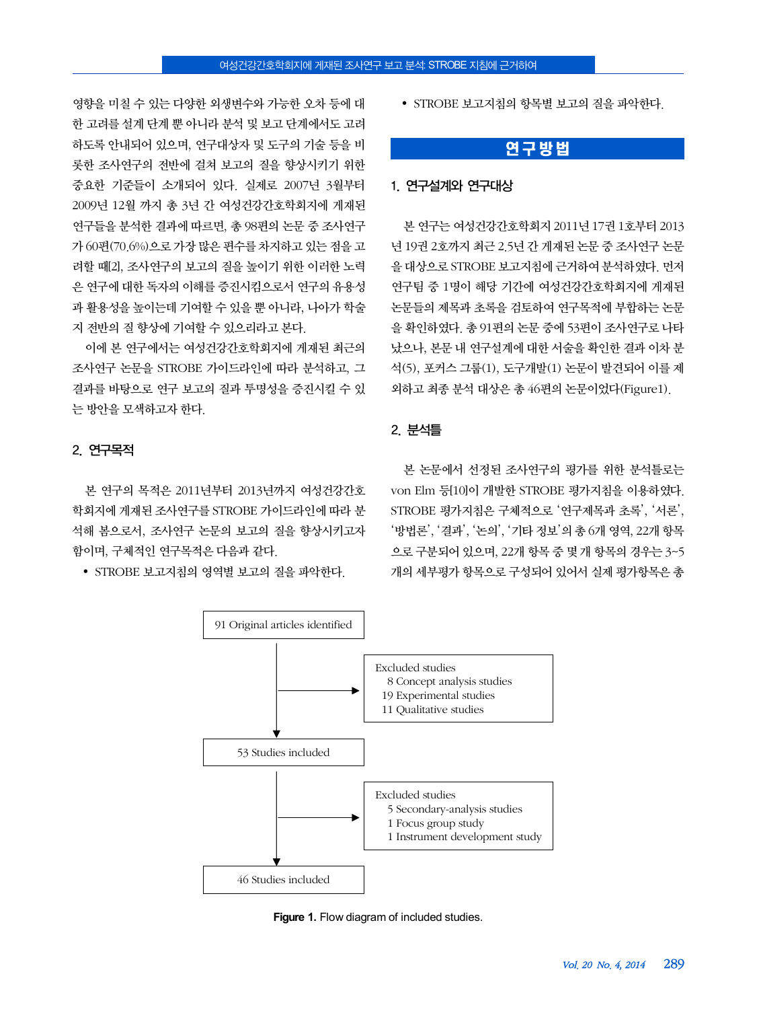영향을 미칠 수 있는 다양한 외생변수와 가능한 오차 등에 대 한 고려를 설계 단계 뿐 아니라 분석 및 보고 단계에서도 고려 하도록 안내되어 있으며, 연구대상자 및 도구의 기술 등을 비 롯한 조사연구의 전반에 걸쳐 보고의 질을 향상시키기 위한 중요한 기준들이 소개되어 있다. 실제로 2007년 3월부터 2009년 12월 까지 총 3년 간 여성건강간호학회지에 게재된 연구들을 분석한 결과에 따르면, 총 98편의 논문 중 조사연구 가 60편(70.6%)으로 가장 많은 편수를 차지하고 있는 점을 고 려할 때[2], 조사연구의 보고의 질을 높이기 위한 이러한 노력 은 연구에 대한 독자의 이해를 증진시킴으로서 연구의 유용성 과 활용성을 높이는데 기여할 수 있을 뿐 아니라, 나아가 학술 지 전반의 질 향상에 기여할 수 있으리라고 본다.

이에 본 연구에서는 여성건강간호학회지에 게재된 최근의 조사연구 논문을 STROBE 가이드라인에 따라 분석하고, 그 결과를 바탕으로 연구 보고의 질과 투명성을 증진시킬 수 있 는 방안을 모색하고자 한다.

#### 2. 연구목적

본 연구의 목적은 2011년부터 2013년까지 여성건강간호 학회지에 게재된 조사연구를 STROBE 가이드라인에 따라 분 석해 봄으로서, 조사연구 논문의 보고의 질을 향상시키고자 함이며, 구체적인 연구목적은 다음과 같다.

• STROBE 보고지침의 영역별 보고의 질을 파악한다.

• STROBE 보고지침의 항목별 보고의 질을 파악하다.

## 연구방법

#### 1. 연구설계와 연구대상

본 연구는 여성건강간호학회지 2011년 17권 1호부터 2013 년 19권 2호까지 최근 2.5년 간 게재된 논문 중 조사연구 논문 을 대상으로 STROBE 보고지침에 근거하여 분석하였다. 먼저 연구팀 중 1명이 해당 기간에 여성건강간호학회지에 게재된 논문들의 제목과 초록을 검토하여 연구목적에 부합하는 논문 을 확인하였다. 총 91편의 논문 중에 53편이 조사연구로 나타 났으나, 본문 내 연구설계에 대한 서술을 확인한 결과 이차 분 석(5), 포커스 그룹(1), 도구개발(1) 논문이 발견되어 이를 제 외하고 최종 분석 대상은 총 46편의 논문이었다(Figure1).

## 2. 분석틀

본 논문에서 선정된 조사연구의 평가를 위한 분석틀로는 von Elm 등[10]이 개발한 STROBE 평가지침을 이용하였다. STROBE 평가지침은 구체적으로 '연구제목과 초록', '서론', '방법론', '결과', '논의', '기타 정보'의 총 6개 영역, 22개 항목 으로 구분되어 있으며, 22개 항목 중 몇 개 항목의 경우는 3~5 개의 세부평가 항목으로 구성되어 있어서 실제 평가항목은 총



**Figure 1.** Flow diagram of included studies.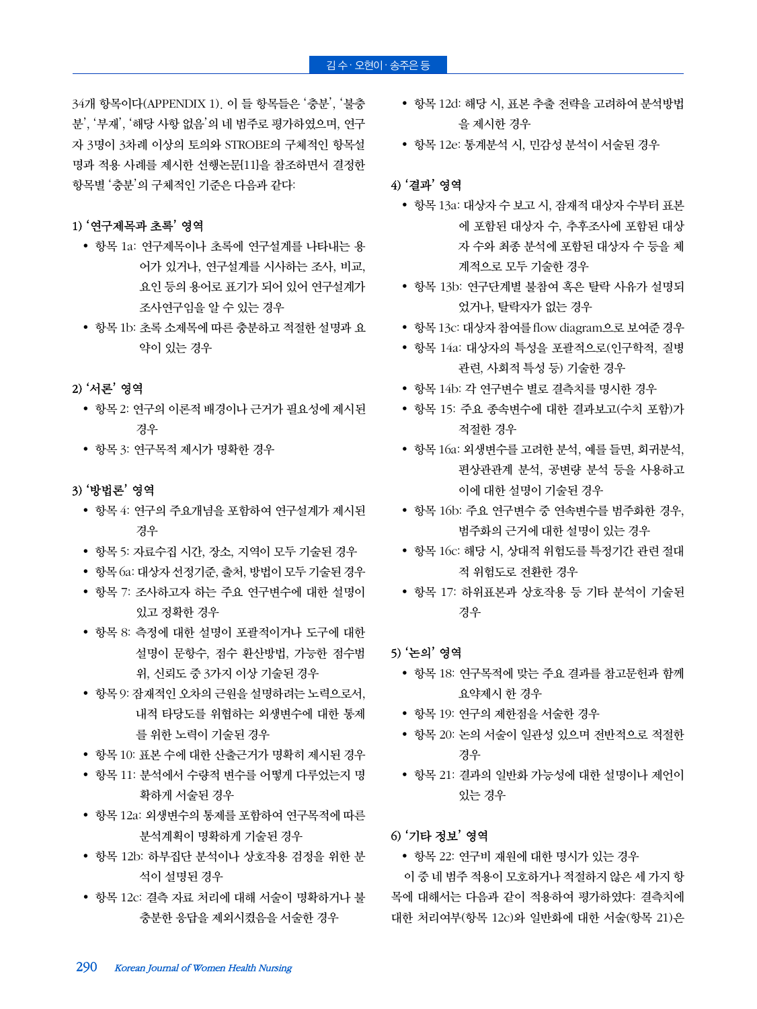### $\overline{21}$ 수· 오현이·송주은 등

34개 항목이다(APPENDIX 1). 이 들 항목들은 '충분', '불충 분', '부재', '해당 사항 없음'의 네 범주로 평가하였으며, 연구 자 3명이 3차례 이상의 토의와 STROBE의 구체적인 항목설 명과 적용 사례를 제시한 선행논문[11]을 참조하면서 결정한 항목별 '충분'의 구체적인 기준은 다음과 같다:

#### 1) '연구제목과 초록' 영역

- 항목 1a: 연구제목이나 초록에 연구설계를 나타내는 용 어가 있거나, 연구설계를 시사하는 조사, 비교, 요인 등의 용어로 표기가 되어 있어 연구설계가 조사연구임을 알 수 있는 경우
- 항목 1b: 초록 소제목에 따른 충분하고 적절한 설명과 요 약이 있는 경우

#### 2) '서론' 영역

- 항목 2: 연구의 이론적 배경이나 근거가 필요성에 제시된 경우
- 항목 3: 연구목적 제시가 명확한 경우

#### 3) '방법론' 영역

- 항목 4: 연구의 주요개념을 포함하여 연구설계가 제시된 경우
- 항목 5: 자료수집 시간, 장소, 지역이 모두 기술된 경우
- 항목 6a: 대상자 선정기준, 출처, 방법이 모두 기술된 경우
- 항목 7: 조사하고자 하는 주요 연구변수에 대한 설명이 있고 정확한 경우
- 항목 8: 측정에 대한 설명이 포괄적이거나 도구에 대한 설명이 문항수, 점수 환산방법, 가능한 점수범 위, 신뢰도 중 3가지 이상 기술된 경우
- 항목 9: 잠재적인 오차의 근원을 설명하려는 노력으로서, 내적 타당도를 위협하는 외생변수에 대한 통제 를 위한 노력이 기술된 경우
- 항목 10: 표본 수에 대한 산출근거가 명확히 제시된 경우
- 항목 11: 분석에서 수량적 변수를 어떻게 다루었는지 명 확하게 서술된 경우
- 항목 12a: 외생변수의 통제를 포함하여 연구목적에 따른 분석계획이 명확하게 기술된 경우
- 항목 12b: 하부집단 분석이나 상호작용 검정을 위한 분 석이 설명된 경우
- 항목 12c: 결측 자료 처리에 대해 서술이 명확하거나 불 충분한 응답을 제외시켰음을 서술한 경우
- 항목 12d: 해당 시, 표본 추출 전략을 고려하여 분석방법 을 제시한 경우
- 항목 12e: 통계분석 시, 민감성 분석이 서술된 경우

## 4) '결과' 영역

- 항목 13a: 대상자 수 보고 시, 잠재적 대상자 수부터 표본 에 포함된 대상자 수, 추후조사에 포함된 대상 자 수와 최종 분석에 포함된 대상자 수 등을 체 계적으로 모두 기술한 경우
- 항목 13b: 연구단계별 불참여 혹은 탈락 사유가 설명되 었거나, 탈락자가 없는 경우
- 항목 13c: 대상자 참여를 flow diagram으로 보여준 경우
- 항목 14a: 대상자의 특성을 포괄적으로(인구학적, 질병 관련, 사회적 특성 등) 기술한 경우
- 항목 14b: 각 연구변수 별로 결측치를 명시한 경우
- 항목 15: 주요 종속변수에 대한 결과보고(수치 포함)가 적절한 경우
- 항목 16a: 외생변수를 고려한 분석, 예를 들면, 회귀분석, 편상관관계 분석, 공변량 분석 등을 사용하고 이에 대한 설명이 기술된 경우
- 항목 16b: 주요 연구변수 중 연속변수를 범주화한 경우, 범주화의 근거에 대한 설명이 있는 경우
- 항목 16c: 해당 시, 상대적 위험도를 특정기간 관련 절대 적 위험도로 전환한 경우
- 항목 17: 하위표본과 상호작용 등 기타 분석이 기술된 경우

#### 5) '논의' 영역

- 항목 18: 연구목적에 맞는 주요 결과를 참고문헌과 함께 요약제시 한 경우
- 항목 19: 연구의 제한점을 서술한 경우
- 항목 20: 논의 서술이 일관성 있으며 전반적으로 적절한 경우
- 항목 21: 결과의 일반화 가능성에 대한 설명이나 제언이 있는 경우

#### 6) '기타 정보' 영역

항목 22: 연구비 재원에 대한 명시가 있는 경우

이 중 네 범주 적용이 모호하거나 적절하지 않은 세 가지 항 목에 대해서는 다음과 같이 적용하여 평가하였다: 결측치에 대한 처리여부(항목 12c)와 일반화에 대한 서술(항목 21)은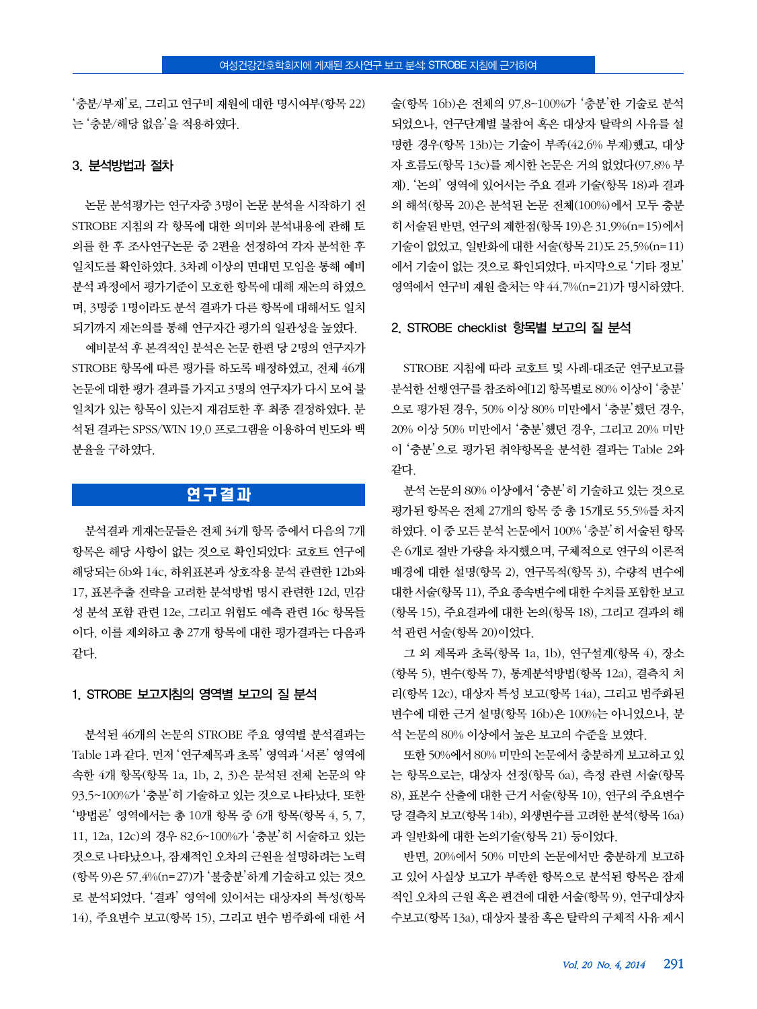'충분/부재'로, 그리고 연구비 재원에 대한 명시여부(항목 22) 는 '충분/해당 없음'을 적용하였다.

#### 3. 분석방법과 절차

논문 분석평가는 연구자중 3명이 논문 분석을 시작하기 전 STROBE 지침의 각 항목에 대한 의미와 분석내용에 관해 토 의를 한 후 조사연구논문 중 2편을 선정하여 각자 분석한 후 일치도를 확인하였다. 3차례 이상의 면대면 모임을 통해 예비 분석 과정에서 평가기준이 모호한 항목에 대해 재논의 하였으 며, 3명중 1명이라도 분석 결과가 다른 항목에 대해서도 일치 되기까지 재논의를 통해 연구자간 평가의 일관성을 높였다.

예비분석 후 본격적인 분석은 논문 한편 당 2명의 연구자가 STROBE 항목에 따른 평가를 하도록 배정하였고, 전체 46개 논문에 대한 평가 결과를 가지고 3명의 연구자가 다시 모여 불 일치가 있는 항목이 있는지 재검토한 후 최종 결정하였다. 분 석된 결과는 SPSS/WIN 19.0 프로그램을 이용하여 빈도와 백 분율을 구하였다.

## 연구결과

분석결과 게재논문들은 전체 34개 항목 중에서 다음의 7개 항목은 해당 사항이 없는 것으로 확인되었다: 코호트 연구에 해당되는 6b와 14c, 하위표본과 상호작용 분석 관련한 12b와 17, 표본추출 전략을 고려한 분석방법 명시 관련한 12d, 민감 성 분석 포함 관련 12e, 그리고 위험도 예측 관련 16c 항목들 이다. 이를 제외하고 총 27개 항목에 대한 평가결과는 다음과 같다.

#### 1. STROBE 보고지침의 영역별 보고의 질 분석

분석된 46개의 논문의 STROBE 주요 영역별 분석결과는 Table 1과 같다. 먼저 '연구제목과 초록' 영역과 '서론' 영역에 속한 4개 항목(항목 1a, 1b, 2, 3)은 분석된 전체 논문의 약 93.5~100%가 '충분'히 기술하고 있는 것으로 나타났다. 또한 '방법론' 영역에서는 총 10개 항목 중 6개 항목(항목 4, 5, 7, 11, 12a, 12c)의 경우 82.6~100%가 '충분'히 서술하고 있는 것으로 나타났으나, 잠재적인 오차의 근원을 설명하려는 노력 (항목 9)은 57.4%(n=27)가 '불충분'하게 기술하고 있는 것으 로 분석되었다. '결과' 영역에 있어서는 대상자의 특성(항목 14), 주요변수 보고(항목 15), 그리고 변수 범주화에 대한 서 술(항목 16b)은 전체의 97.8~100%가 '충분'한 기술로 분석 되었으나, 연구단계별 불참여 혹은 대상자 탈락의 사유를 설 명한 경우(항목 13b)는 기술이 부족(42.6% 부재)했고, 대상 자 흐름도(항목 13c)를 제시한 논문은 거의 없었다(97.8% 부 재). '논의' 영역에 있어서는 주요 결과 기술(항목 18)과 결과 의 해석(항목 20)은 분석된 논문 전체(100%)에서 모두 충분 히 서술된 반면, 연구의 제한점(항목 19)은 31.9%(n=15)에서 기술이 없었고, 일반화에 대한 서술(항목 21)도 25.5%(n=11) 에서 기술이 없는 것으로 확인되었다. 마지막으로 '기타 정보' 영역에서 연구비 재원 출처는 약 44.7%(n=21)가 명시하였다.

#### 2. STROBE checklist 항목별 보고의 질 분석

STROBE 지침에 따라 코호트 및 사례-대조군 연구보고를 분석한 선행연구를 참조하여[12] 항목별로 80% 이상이 '충분' 으로 평가된 경우, 50% 이상 80% 미만에서 '충분'했던 경우, 20% 이상 50% 미만에서 '충분'했던 경우, 그리고 20% 미만 이 '충분'으로 평가된 취약항목을 분석한 결과는 Table 2와 같다.

분석 논문의 80% 이상에서 '충분'히 기술하고 있는 것으로 평가된 항목은 전체 27개의 항목 중 총 15개로 55.5%를 차지 하였다. 이 중 모든 분석 논문에서 100% '충분'히 서술된 항목 은 6개로 절반 가량을 차지했으며, 구체적으로 연구의 이론적 배경에 대한 설명(항목 2), 연구목적(항목 3), 수량적 변수에 대한서술(항목 11), 주요 종속변수에대한 수치를 포함한보고 (항목 15), 주요결과에 대한 논의(항목 18), 그리고 결과의 해 석 관련 서술(항목 20)이었다.

그 외 제목과 초록(항목 1a, 1b), 연구설계(항목 4), 장소 (항목 5), 변수(항목 7), 통계분석방법(항목 12a), 결측치 처 리(항목 12c), 대상자 특성 보고(항목 14a), 그리고 범주화된 변수에 대한 근거 설명(항목 16b)은 100%는 아니었으나, 분 석 논문의 80% 이상에서 높은 보고의 수준을 보였다.

또한 50%에서 80% 미만의 논문에서 충분하게 보고하고 있 는 항목으로는, 대상자 선정(항목 6a), 측정 관련 서술(항목 8), 표본수 산출에 대한 근거 서술(항목 10), 연구의 주요변수 당 결측치 보고(항목 14b), 외생변수를 고려한 분석(항목 16a) 과 일반화에 대한 논의기술(항목 21) 등이었다.

반면, 20%에서 50% 미만의 논문에서만 충분하게 보고하 고 있어 사실상 보고가 부족한 항목으로 분석된 항목은 잠재 적인 오차의 근원 혹은 편견에 대한 서술(항목 9), 연구대상자 수보고(항목 13a), 대상자 불참 혹은 탈락의 구체적 사유 제시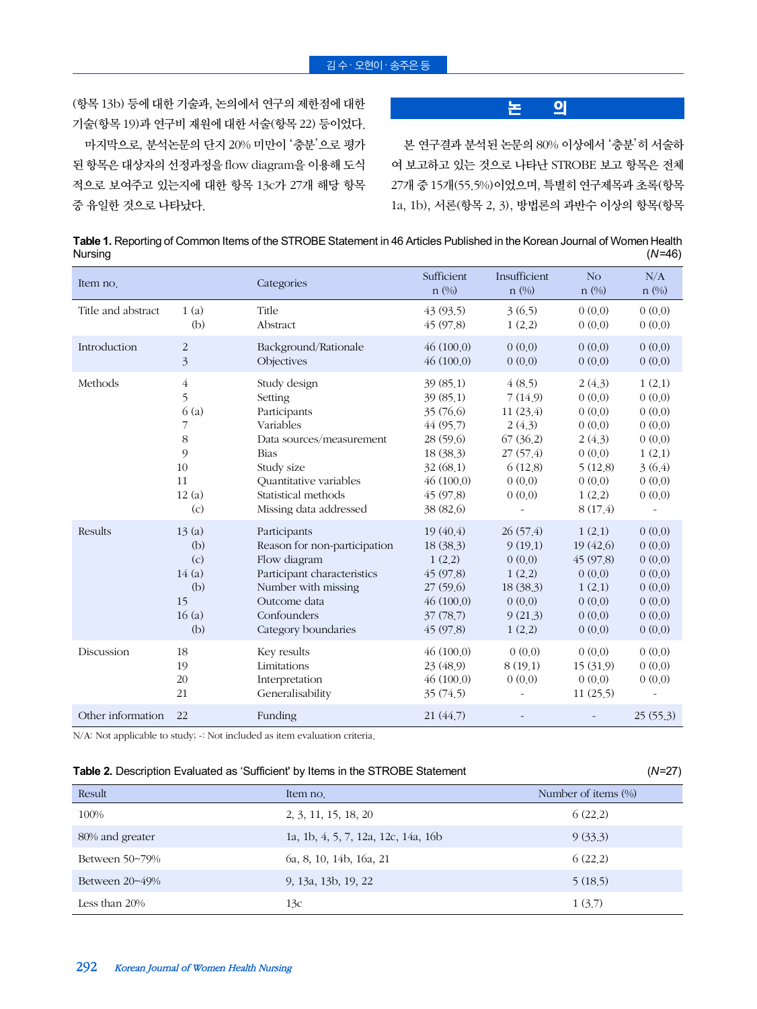(항목 13b) 등에 대한 기술과, 논의에서 연구의 제한점에 대한 기술(항목 19)과 연구비 재원에 대한 서술(항목 22) 등이었다. 마지막으로, 분석논문의 단지 20% 미만이 '충분'으로 평가 된 항목은 대상자의 선정과정을 flow diagram을 이용해 도식 적으로 보여주고 있는지에 대한 항목 13c가 27개 해당 항목 중 유일한 것으로 나타났다.

## 논 의

본 연구결과 분석된 논문의 80% 이상에서 '충분'히 서술하 여 보고하고 있는 것으로 나타난 STROBE 보고 항목은 전체 27개 중 15개(55.5%)이었으며, 특별히 연구제목과 초록(항목 1a, 1b), 서론(항목 2, 3), 방법론의 과반수 이상의 항목(항목

**Table 1.** Reporting of Common Items of the STROBE Statement in 46 Articles Published in the Korean Journal of Women Health Nursing (*N*=46)

| Item no.           |                                                           | Categories                                                                                                                                                                               | Sufficient<br>$n$ (%)                                                                                                   | Insufficient<br>$n$ (%)                                                                        | N <sub>O</sub><br>$n$ (%)                                                                          | N/A<br>$n$ (%)                                                                         |
|--------------------|-----------------------------------------------------------|------------------------------------------------------------------------------------------------------------------------------------------------------------------------------------------|-------------------------------------------------------------------------------------------------------------------------|------------------------------------------------------------------------------------------------|----------------------------------------------------------------------------------------------------|----------------------------------------------------------------------------------------|
| Title and abstract | 1(a)<br>(b)                                               | Title<br>Abstract                                                                                                                                                                        | 43 (93.5)<br>45(97.8)                                                                                                   | 3(6.5)<br>1(2,2)                                                                               | 0(0.0)<br>0(0.0)                                                                                   | 0(0.0)<br>0(0.0)                                                                       |
| Introduction       | $\overline{c}$<br>$\overline{\mathfrak{Z}}$               | Background/Rationale<br>Objectives                                                                                                                                                       | 46(100.0)<br>46(100.0)                                                                                                  | 0(0,0)<br>0(0,0)                                                                               | 0(0,0)<br>0(0,0)                                                                                   | 0(0.0)<br>0(0.0)                                                                       |
| Methods            | 4<br>5<br>6(a)<br>7<br>8<br>9<br>10<br>11<br>12(a)<br>(c) | Study design<br>Setting<br>Participants<br>Variables<br>Data sources/measurement<br><b>Bias</b><br>Study size<br>Quantitative variables<br>Statistical methods<br>Missing data addressed | 39(85,1)<br>39(85,1)<br>35(76.6)<br>44(95.7)<br>28(59.6)<br>18 (38.3)<br>32(68,1)<br>46(100.0)<br>45(97.8)<br>38 (82.6) | 4(8.5)<br>7(14.9)<br>11(23.4)<br>2(4.3)<br>67(36.2)<br>27(57.4)<br>6(12.8)<br>0(0,0)<br>0(0,0) | 2(4.3)<br>0(0,0)<br>0(0.0)<br>0(0.0)<br>2(4.3)<br>0(0,0)<br>5(12.8)<br>0(0,0)<br>1(2,2)<br>8(17.4) | 1(2,1)<br>0(0.0)<br>0(0.0)<br>0(0.0)<br>0(0.0)<br>1(2,1)<br>3(6.4)<br>0(0,0)<br>0(0.0) |
| Results            | 13(a)<br>(b)<br>(c)<br>14(a)<br>(b)<br>15<br>16(a)<br>(b) | Participants<br>Reason for non-participation<br>Flow diagram<br>Participant characteristics<br>Number with missing<br>Outcome data<br>Confounders<br>Category boundaries                 | 19(40.4)<br>18 (38.3)<br>1(2,2)<br>45(97.8)<br>27(59.6)<br>46(100.0)<br>37(78,7)<br>45 (97.8)                           | 26(57.4)<br>9(19.1)<br>0(0,0)<br>1(2,2)<br>18 (38.3)<br>0(0.0)<br>9(21.3)<br>1(2,2)            | 1(2,1)<br>19 (42.6)<br>45(97.8)<br>0(0.0)<br>1(2,1)<br>0(0,0)<br>0(0,0)<br>0(0.0)                  | 0(0,0)<br>0(0.0)<br>0(0.0)<br>0(0.0)<br>0(0.0)<br>0(0.0)<br>0(0.0)<br>0(0.0)           |
| Discussion         | 18<br>19<br>20<br>21                                      | Key results<br>Limitations<br>Interpretation<br>Generalisability                                                                                                                         | 46(100.0)<br>23 (48.9)<br>46(100.0)<br>35(74.5)                                                                         | 0(0,0)<br>8(19.1)<br>0(0,0)                                                                    | 0(0,0)<br>15 (31.9)<br>0(0,0)<br>11(25.5)                                                          | 0(0.0)<br>0(0.0)<br>0(0.0)                                                             |
| Other information  | 22                                                        | Funding                                                                                                                                                                                  | 21(44.7)                                                                                                                |                                                                                                |                                                                                                    | 25(55.3)                                                                               |

N/A: Not applicable to study; -: Not included as item evaluation criteria.

| <b>Table 2.</b> Description Evaluated as 'Sufficient' by Items in the STROBE Statement | $(N=27)$ |
|----------------------------------------------------------------------------------------|----------|
|----------------------------------------------------------------------------------------|----------|

|                  |                                     | $\overline{\phantom{a}}$ |
|------------------|-------------------------------------|--------------------------|
| Result           | Item no.                            | Number of items $(\% )$  |
| 100%             | 2, 3, 11, 15, 18, 20                | 6(22.2)                  |
| 80% and greater  | 1a, 1b, 4, 5, 7, 12a, 12c, 14a, 16b | 9(33.3)                  |
| Between 50~79%   | 6a, 8, 10, 14b, 16a, 21             | 6(22.2)                  |
| Between 20~49%   | 9, 13a, 13b, 19, 22                 | 5(18.5)                  |
| Less than $20\%$ | 13с                                 | 1(3.7)                   |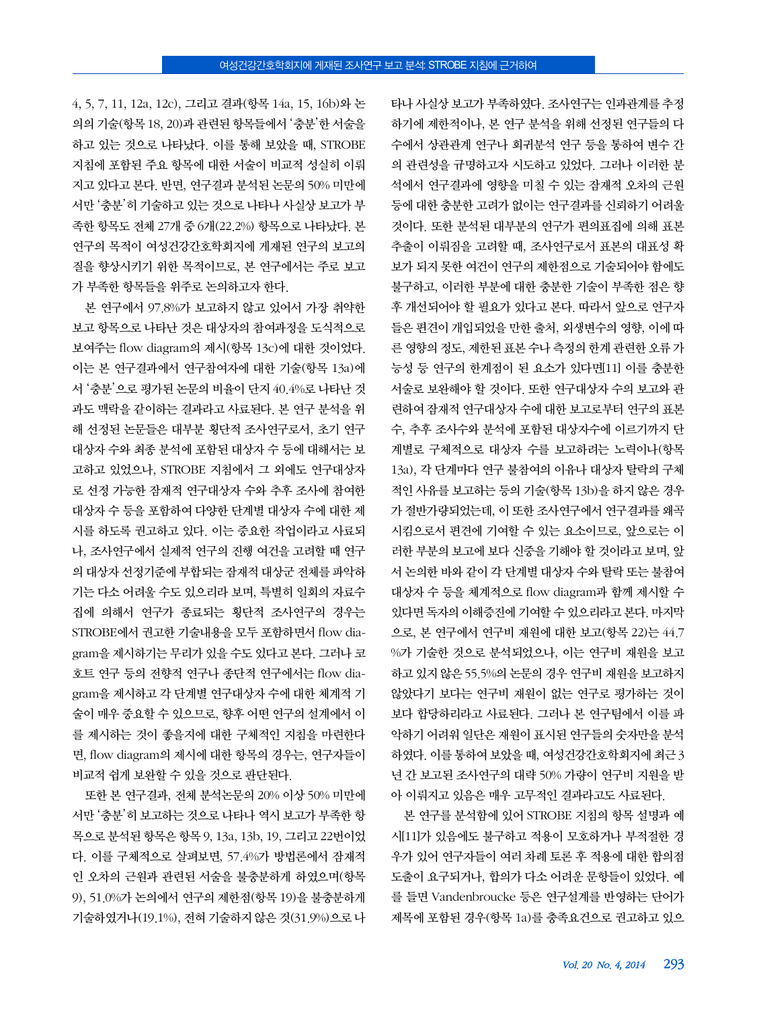4, 5, 7, 11, 12a, 12c), 그리고 결과(항목 14a, 15, 16b)와 논 의의 기술(항목 18, 20)과 관련된 항목들에서 '충분'한 서술을 하고 있는 것으로 나타났다. 이를 통해 보았을 때, STROBE 지침에 포함된 주요 항목에 대한 서술이 비교적 성실히 이뤄 지고 있다고 본다. 반면, 연구결과 분석된 논문의 50% 미만에 서만 '충분'히 기술하고 있는 것으로 나타나 사실상 보고가 부 족한 항목도 전체 27개 중 6개(22.2%) 항목으로 나타났다. 본 연구의 목적이 여성건강간호학회지에 게재된 연구의 보고의 질을 향상시키기 위한 목적이므로, 본 연구에서는 주로 보고 가 부족한 항목들을 위주로 논의하고자 한다.

본 연구에서 97.8%가 보고하지 않고 있어서 가장 취약한 보고 항목으로 나타난 것은 대상자의 참여과정을 도식적으로 보여주는 flow diagram의 제시(항목 13c)에 대한 것이었다. 이는 본 연구결과에서 연구참여자에 대한 기술(항목 13a)에 서 '충분'으로 평가된 논문의 비율이 단지 40.4%로 나타난 것 과도 맥락을 같이하는 결과라고 사료된다. 본 연구 분석을 위 해 선정된 논문들은 대부분 횡단적 조사연구로서, 초기 연구 대상자 수와 최종 분석에 포함된 대상자 수 등에 대해서는 보 고하고 있었으나, STROBE 지침에서 그 외에도 연구대상자 로 선정 가능한 잠재적 연구대상자 수와 추후 조사에 참여한 대상자 수 등을 포함하여 다양한 단계별 대상자 수에 대한 제 시를 하도록 권고하고 있다. 이는 중요한 작업이라고 사료되 나, 조사연구에서 실제적 연구의 진행 여건을 고려할 때 연구 의 대상자 선정기준에 부합되는 잠재적 대상군 전체를 파악하 기는 다소 어려울 수도 있으리라 보며, 특별히 일회의 자료수 집에 의해서 연구가 종료되는 횡단적 조사연구의 경우는 STROBE에서 권고한 기술내용을 모두 포함하면서 flow diagram을 제시하기는 무리가 있을 수도 있다고 본다. 그러나 코 호트 연구 등의 전향적 연구나 종단적 연구에서는 flow diagram을 제시하고 각 단계별 연구대상자 수에 대한 체계적 기 술이 매우 중요할 수 있으므로, 향후 어떤 연구의 설계에서 이 를 제시하는 것이 좋을지에 대한 구체적인 지침을 마련한다 면, flow diagram의 제시에 대한 항목의 경우는, 연구자들이 비교적 쉽게 보완할 수 있을 것으로 판단된다.

또한 본 연구결과, 전체 분석논문의 20% 이상 50% 미만에 서만 '충분'히 보고하는 것으로 나타나 역시 보고가 부족한 항 목으로 분석된 항목은 항목 9, 13a, 13b, 19, 그리고 22번이었 다. 이를 구체적으로 살펴보면, 57.4%가 방법론에서 잠재적 인 오차의 근원과 관련된 서술을 불충분하게 하였으며(항목 9), 51.0%가 논의에서 연구의 제한점(항목 19)을 불충분하게 기술하였거나(19.1%), 전혀 기술하지 않은 것(31.9%)으로 나 타나 사실상 보고가 부족하였다. 조사연구는 인과관계를 추정 하기에 제한적이나, 본 연구 분석을 위해 선정된 연구들의 다 수에서 상관관계 연구나 회귀분석 연구 등을 통하여 변수 간 의 관련성을 규명하고자 시도하고 있었다. 그러나 이러한 분 석에서 연구결과에 영향을 미칠 수 있는 잠재적 오차의 근원 등에 대한 충분한 고려가 없이는 연구결과를 신뢰하기 어려울 것이다. 또한 분석된 대부분의 연구가 편의표집에 의해 표본 추출이 이뤄짐을 고려할 때, 조사연구로서 표본의 대표성 확 보가 되지 못한 여건이 연구의 제한점으로 기술되어야 함에도 불구하고, 이러한 부분에 대한 충분한 기술이 부족한 점은 향 후 개선되어야 할 필요가 있다고 본다. 따라서 앞으로 연구자 들은 편견이 개입되었을 만한 출처, 외생변수의 영향, 이에 따 른 영향의 정도, 제한된 표본 수나 측정의 한계 관련한 오류 가 능성 등 연구의 한계점이 된 요소가 있다면[11] 이를 충분한 서술로 보완해야 할 것이다. 또한 연구대상자 수의 보고와 관 련하여 잠재적 연구대상자 수에 대한 보고로부터 연구의 표본 수, 추후 조사수와 분석에 포함된 대상자수에 이르기까지 단 계별로 구체적으로 대상자 수를 보고하려는 노력이나(항목 13a), 각 단계마다 연구 불참여의 이유나 대상자 탈락의 구체 적인 사유를 보고하는 등의 기술(항목 13b)을 하지 않은 경우 가 절반가량되었는데, 이 또한 조사연구에서 연구결과를 왜곡 시킴으로서 편견에 기여할 수 있는 요소이므로, 앞으로는 이 러한 부분의 보고에 보다 신중을 기해야 할 것이라고 보며, 앞 서 논의한 바와 같이 각 단계별 대상자 수와 탈락 또는 불참여 대상자 수 등을 체계적으로 flow diagram과 함께 제시할 수 있다면 독자의 이해증진에 기여할 수 있으리라고 본다. 마지막 으로, 본 연구에서 연구비 재원에 대한 보고(항목 22)는 44.7 %가 기술한 것으로 분석되었으나, 이는 연구비 재원을 보고 하고 있지 않은 55.5%의 논문의 경우 연구비 재원을 보고하지 않았다기 보다는 연구비 재원이 없는 연구로 평가하는 것이 보다 합당하리라고 사료된다. 그러나 본 연구팀에서 이를 파 악하기 어려워 일단은 재원이 표시된 연구들의 숫자만을 분석 하였다. 이를 통하여 보았을 때, 여성건강간호학회지에 최근 3 년 간 보고된 조사연구의 대략 50% 가량이 연구비 지원을 받 아 이뤄지고 있음은 매우 고무적인 결과라고도 사료된다.

본 연구를 분석함에 있어 STROBE 지침의 항목 설명과 예 시[11]가 있음에도 불구하고 적용이 모호하거나 부적절한 경 우가 있어 연구자들이 여러 차례 토론 후 적용에 대한 합의점 도출이 요구되거나, 합의가 다소 어려운 문항들이 있었다. 예 를 들면 Vandenbroucke 등은 연구설계를 반영하는 단어가 제목에 포함된 경우(항목 1a)를 충족요건으로 권고하고 있으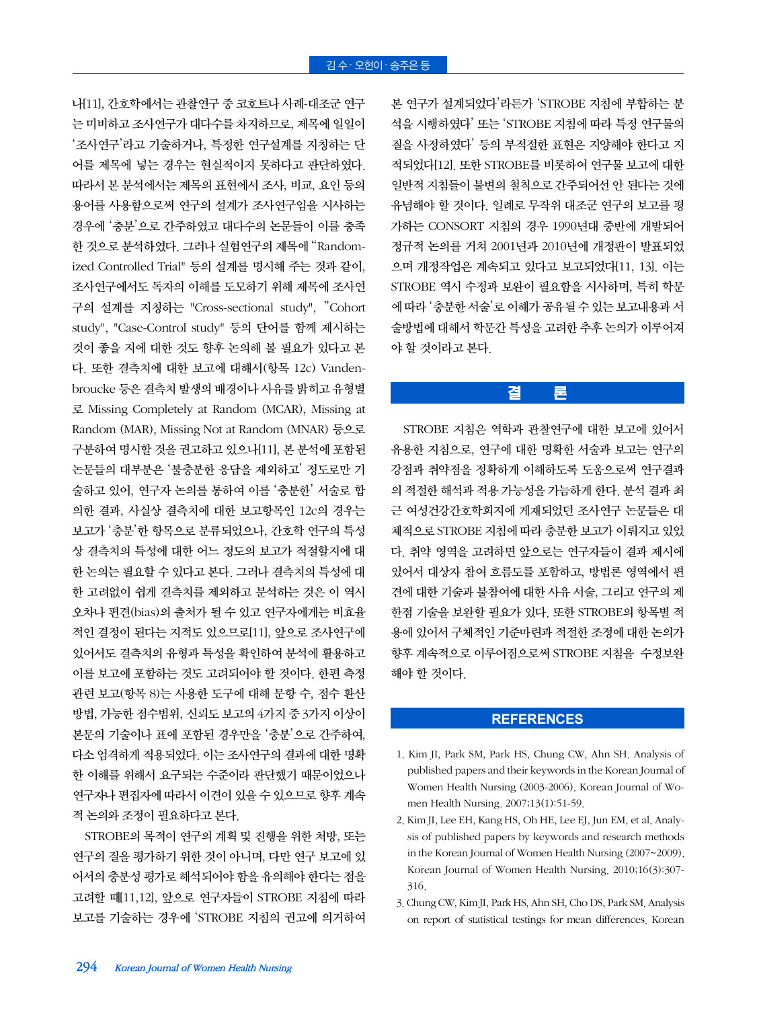본 연구가 설계되었다'라든가 'STROBE 지침에 부합하는 분 석을 시행하였다' 또는 'STROBE 지침에 따라 특정 연구물의 질을 사정하였다' 등의 부적절한 표현은 지양해야 한다고 지 적되었다[12]. 또한 STROBE를 비롯하여 연구물 보고에 대한 일반적 지침들이 불변의 철칙으로 간주되어선 안 된다는 것에 유념해야 할 것이다. 일례로 무작위 대조군 연구의 보고를 평 가하는 CONSORT 지침의 경우 1990년대 중반에 개발되어 정규적 논의를 거쳐 2001년과 2010년에 개정판이 발표되었 으며 개정작업은 계속되고 있다고 보고되었다[11, 13]. 이는 STROBE 역시 수정과 보완이 필요함을 시사하며, 특히 학문 에 따라 '충분한 서술'로 이해가 공유될 수 있는 보고내용과 서 술방법에 대해서 학문간 특성을 고려한 추후 논의가 이루어져 야 할 것이라고 본다.

## 결 론

STROBE 지침은 역학과 관찰연구에 대한 보고에 있어서 유용한 지침으로, 연구에 대한 명확한 서술과 보고는 연구의 강점과 취약점을 정확하게 이해하도록 도움으로써 연구결과 의 적절한 해석과 적용 가능성을 가늠하게 한다. 분석 결과 최 근 여성건강간호학회지에 게재되었던 조사연구 논문들은 대 체적으로 STROBE 지침에 따라 충분한 보고가 이뤄지고 있었 다. 취약 영역을 고려하면 앞으로는 연구자들이 결과 제시에 있어서 대상자 참여 흐름도를 포함하고, 방법론 영역에서 편 견에 대한 기술과 불참여에 대한 사유 서술, 그리고 연구의 제 한점 기술을 보완할 필요가 있다. 또한 STROBE의 항목별 적 용에 있어서 구체적인 기준마련과 적절한 조정에 대한 논의가 향후 계속적으로 이루어짐으로써 STROBE 지침을 수정보완 해야 할 것이다.

#### **REFERENCES**

- 1. Kim JI, Park SM, Park HS, Chung CW, Ahn SH. Analysis of published papers and their keywords in the Korean Journal of Women Health Nursing (2003-2006). Korean Journal of Women Health Nursing. 2007;13(1):51-59.
- 2. Kim JI, Lee EH, Kang HS, Oh HE, Lee EJ, Jun EM, et al. Analysis of published papers by keywords and research methods in the Korean Journal of Women Health Nursing (2007~2009). Korean Journal of Women Health Nursing. 2010;16(3):307- 316.
- 3. Chung CW, Kim JI, Park HS, Ahn SH, Cho DS, Park SM. Analysis on report of statistical testings for mean differences. Korean

나[11], 간호학에서는 관찰연구 중 코호트나 사례-대조군 연구 는 미비하고 조사연구가 대다수를 차지하므로, 제목에 일일이 '조사연구'라고 기술하거나, 특정한 연구설계를 지칭하는 단 어를 제목에 넣는 경우는 현실적이지 못하다고 판단하였다. 따라서 본 분석에서는 제목의 표현에서 조사, 비교, 요인 등의 용어를 사용함으로써 연구의 설계가 조사연구임을 시사하는 경우에 '충분'으로 간주하였고 대다수의 논문들이 이를 충족 한 것으로 분석하였다. 그러나 실험연구의 제목에 "Randomized Controlled Trial" 등의 설계를 명시해 주는 것과 같이, 조사연구에서도 독자의 이해를 도모하기 위해 제목에 조사연 구의 설계를 지칭하는 "Cross-sectional study", "Cohort study", "Case-Control study" 등의 단어를 함께 제시하는 것이 좋을 지에 대한 것도 향후 논의해 볼 필요가 있다고 본 다. 또한 결측치에 대한 보고에 대해서(항목 12c) Vandenbroucke 등은 결측치 발생의 배경이나 사유를 밝히고 유형별 로 Missing Completely at Random (MCAR), Missing at Random (MAR), Missing Not at Random (MNAR) 등으로 구분하여 명시할 것을 권고하고 있으나[11], 본 분석에 포함된 논문들의 대부분은 '불충분한 응답을 제외하고' 정도로만 기 술하고 있어, 연구자 논의를 통하여 이를 '충분한' 서술로 합 의한 결과, 사실상 결측치에 대한 보고항목인 12c의 경우는 보고가 '충분'한 항목으로 분류되었으나, 간호학 연구의 특성 상 결측치의 특성에 대한 어느 정도의 보고가 적절할지에 대 한 논의는 필요할 수 있다고 본다. 그러나 결측치의 특성에 대 한 고려없이 쉽게 결측치를 제외하고 분석하는 것은 이 역시 오차나 편견(bias)의 출처가 될 수 있고 연구자에게는 비효율 적인 결정이 된다는 지적도 있으므로[11], 앞으로 조사연구에 있어서도 결측치의 유형과 특성을 확인하여 분석에 활용하고 이를 보고에 포함하는 것도 고려되어야 할 것이다. 한편 측정 관련 보고(항목 8)는 사용한 도구에 대해 문항 수, 점수 환산 방법, 가능한 점수범위, 신뢰도 보고의 4가지 중 3가지 이상이 본문의 기술이나 표에 포함된 경우만을 '충분'으로 간주하여, 다소 엄격하게 적용되었다. 이는 조사연구의 결과에 대한 명확 한 이해를 위해서 요구되는 수준이라 판단했기 때문이었으나 연구자나 편집자에 따라서 이견이 있을 수 있으므로 향후 계속 적 논의와 조정이 필요하다고 본다.

STROBE의 목적이 연구의 계획 및 진행을 위한 처방, 또는 연구의 질을 평가하기 위한 것이 아니며, 다만 연구 보고에 있 어서의 충분성 평가로 해석되어야 함을 유의해야 한다는 점을 고려할 때[11,12], 앞으로 연구자들이 STROBE 지침에 따라 보고를 기술하는 경우에 'STROBE 지침의 권고에 의거하여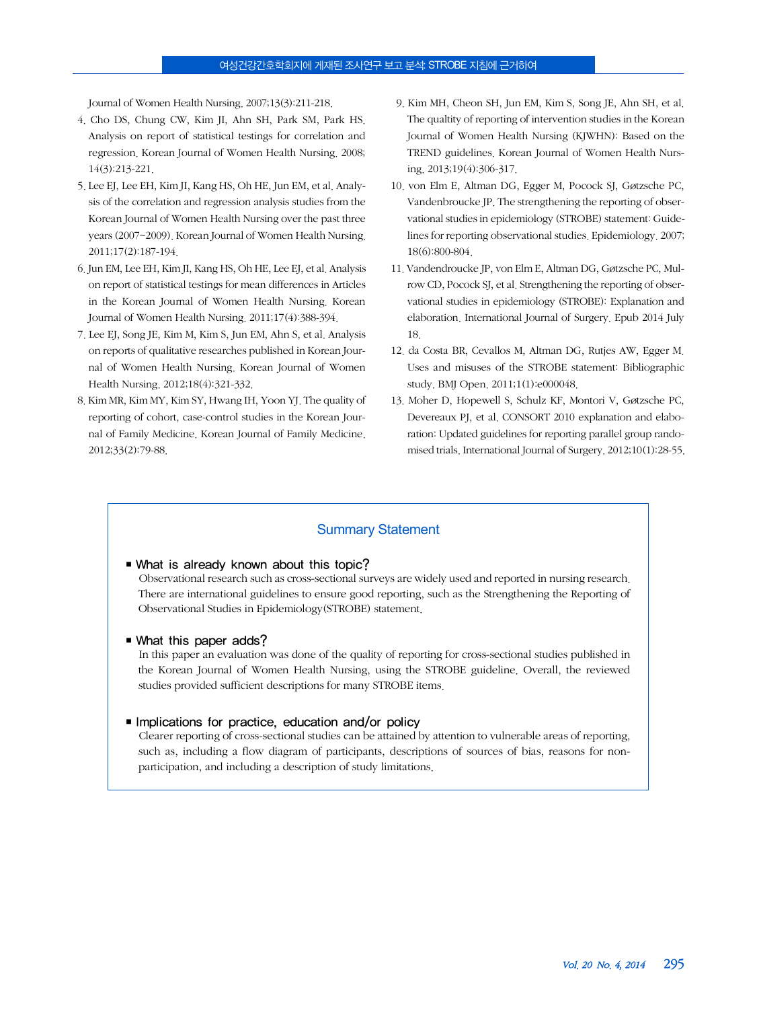#### 여성건강간호학회지에 게재된 조사연구 보고 분석: STROBE 지침에 근거하여

Journal of Women Health Nursing. 2007;13(3):211-218.

- 4. Cho DS, Chung CW, Kim JI, Ahn SH, Park SM, Park HS. Analysis on report of statistical testings for correlation and regression. Korean Journal of Women Health Nursing. 2008; 14(3):213-221.
- 5. Lee EJ, Lee EH, Kim JI, Kang HS, Oh HE, Jun EM, et al. Analysis of the correlation and regression analysis studies from the Korean Journal of Women Health Nursing over the past three years (2007~2009). Korean Journal of Women Health Nursing. 2011;17(2):187-194.
- 6. Jun EM, Lee EH, Kim JI, Kang HS, Oh HE, Lee EJ, et al. Analysis on report of statistical testings for mean differences in Articles in the Korean Journal of Women Health Nursing. Korean Journal of Women Health Nursing. 2011;17(4):388-394.
- 7. Lee EJ, Song JE, Kim M, Kim S, Jun EM, Ahn S, et al. Analysis on reports of qualitative researches published in Korean Journal of Women Health Nursing. Korean Journal of Women Health Nursing. 2012;18(4):321-332.
- 8. Kim MR, Kim MY, Kim SY, Hwang IH, Yoon YJ. The quality of reporting of cohort, case-control studies in the Korean Journal of Family Medicine. Korean Journal of Family Medicine. 2012;33(2):79-88.
- 9. Kim MH, Cheon SH, Jun EM, Kim S, Song JE, Ahn SH, et al. The qualtity of reporting of intervention studies in the Korean Journal of Women Health Nursing (KJWHN): Based on the TREND guidelines. Korean Journal of Women Health Nursing. 2013;19(4):306-317.
- 10. von Elm E, Altman DG, Egger M, Pocock SJ, Gøtzsche PC, Vandenbroucke JP. The strengthening the reporting of observational studies in epidemiology (STROBE) statement: Guidelines for reporting observational studies. Epidemiology. 2007; 18(6):800-804.
- 11. Vandendroucke JP, von Elm E, Altman DG, Gøtzsche PC, Mulrow CD, Pocock SJ, et al. Strengthening the reporting of observational studies in epidemiology (STROBE): Explanation and elaboration. International Journal of Surgery. Epub 2014 July 18.
- 12. da Costa BR, Cevallos M, Altman DG, Rutjes AW, Egger M. Uses and misuses of the STROBE statement: Bibliographic study. BMJ Open. 2011;1(1):e000048.
- 13. Moher D, Hopewell S, Schulz KF, Montori V, Gøtzsche PC, Devereaux PJ, et al. CONSORT 2010 explanation and elaboration: Updated guidelines for reporting parallel group randomised trials. International Journal of Surgery. 2012;10(1):28-55.

#### Summary Statement

#### ■ What is already known about this topic?

Observational research such as cross-sectional surveys are widely used and reported in nursing research. There are international guidelines to ensure good reporting, such as the Strengthening the Reporting of Observational Studies in Epidemiology(STROBE) statement.

■ What this paper adds?

In this paper an evaluation was done of the quality of reporting for cross-sectional studies published in the Korean Journal of Women Health Nursing, using the STROBE guideline. Overall, the reviewed studies provided sufficient descriptions for many STROBE items.

#### ■ Implications for practice, education and/or policy

Clearer reporting of cross-sectional studies can be attained by attention to vulnerable areas of reporting, such as, including a flow diagram of participants, descriptions of sources of bias, reasons for nonparticipation, and including a description of study limitations.